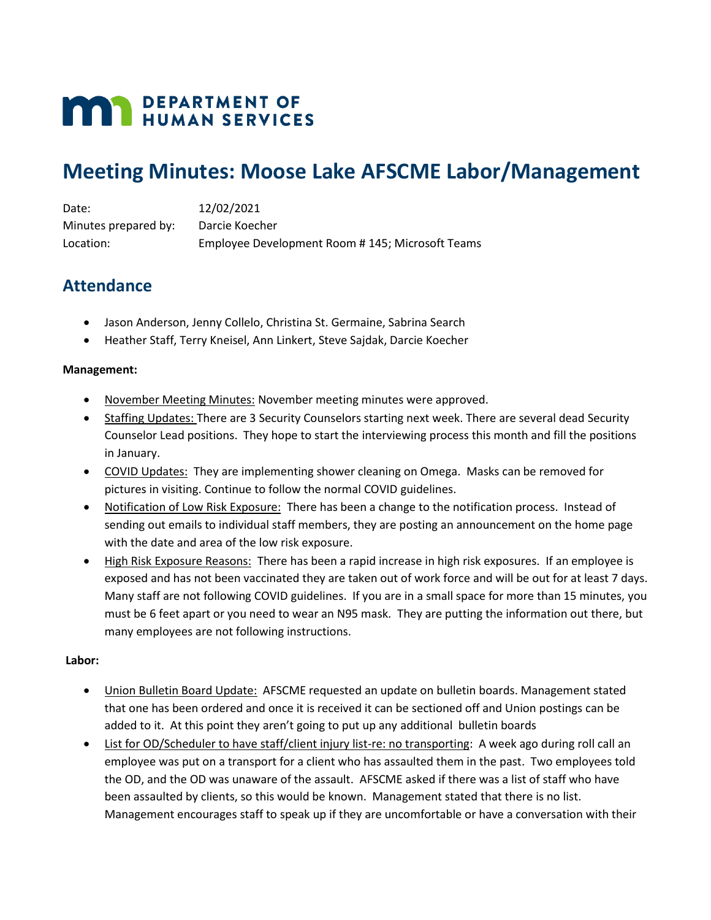# **MAN DEPARTMENT OF HUMAN SERVICES**

## **Meeting Minutes: Moose Lake AFSCME Labor/Management**

Date: 12/02/2021 Minutes prepared by: Darcie Koecher Location: Employee Development Room # 145; Microsoft Teams

## **Attendance**

- Jason Anderson, Jenny Collelo, Christina St. Germaine, Sabrina Search
- Heather Staff, Terry Kneisel, Ann Linkert, Steve Sajdak, Darcie Koecher

### **Management:**

- November Meeting Minutes: November meeting minutes were approved.
- Staffing Updates: There are 3 Security Counselors starting next week. There are several dead Security Counselor Lead positions. They hope to start the interviewing process this month and fill the positions in January.
- COVID Updates: They are implementing shower cleaning on Omega. Masks can be removed for pictures in visiting. Continue to follow the normal COVID guidelines.
- Notification of Low Risk Exposure: There has been a change to the notification process. Instead of sending out emails to individual staff members, they are posting an announcement on the home page with the date and area of the low risk exposure.
- High Risk Exposure Reasons: There has been a rapid increase in high risk exposures. If an employee is exposed and has not been vaccinated they are taken out of work force and will be out for at least 7 days. Many staff are not following COVID guidelines. If you are in a small space for more than 15 minutes, you must be 6 feet apart or you need to wear an N95 mask. They are putting the information out there, but many employees are not following instructions.

### **Labor:**

- Union Bulletin Board Update: AFSCME requested an update on bulletin boards. Management stated that one has been ordered and once it is received it can be sectioned off and Union postings can be added to it. At this point they aren't going to put up any additional bulletin boards
- List for OD/Scheduler to have staff/client injury list-re: no transporting: A week ago during roll call an employee was put on a transport for a client who has assaulted them in the past. Two employees told the OD, and the OD was unaware of the assault. AFSCME asked if there was a list of staff who have been assaulted by clients, so this would be known. Management stated that there is no list. Management encourages staff to speak up if they are uncomfortable or have a conversation with their